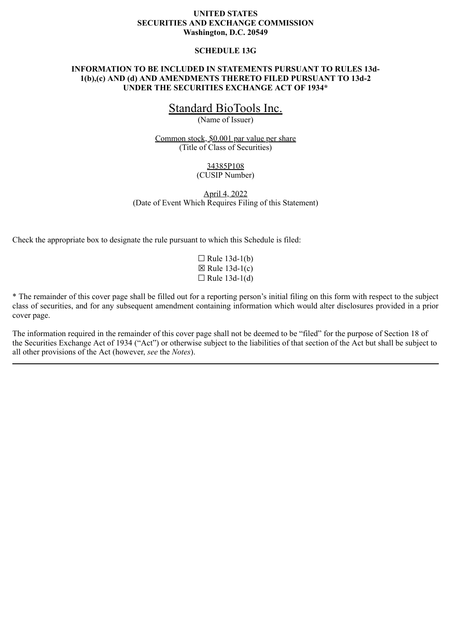# **UNITED STATES SECURITIES AND EXCHANGE COMMISSION Washington, D.C. 20549**

### **SCHEDULE 13G**

## **INFORMATION TO BE INCLUDED IN STATEMENTS PURSUANT TO RULES 13d-1(b),(c) AND (d) AND AMENDMENTS THERETO FILED PURSUANT TO 13d-2 UNDER THE SECURITIES EXCHANGE ACT OF 1934\***

# Standard BioTools Inc.

(Name of Issuer)

Common stock, \$0.001 par value per share (Title of Class of Securities)

# 34385P108

# (CUSIP Number)

April 4, 2022 (Date of Event Which Requires Filing of this Statement)

Check the appropriate box to designate the rule pursuant to which this Schedule is filed:

 $\Box$  Rule 13d-1(b)  $\boxtimes$  Rule 13d-1(c)  $\Box$  Rule 13d-1(d)

\* The remainder of this cover page shall be filled out for a reporting person's initial filing on this form with respect to the subject class of securities, and for any subsequent amendment containing information which would alter disclosures provided in a prior cover page.

The information required in the remainder of this cover page shall not be deemed to be "filed" for the purpose of Section 18 of the Securities Exchange Act of 1934 ("Act") or otherwise subject to the liabilities of that section of the Act but shall be subject to all other provisions of the Act (however, *see* the *Notes*).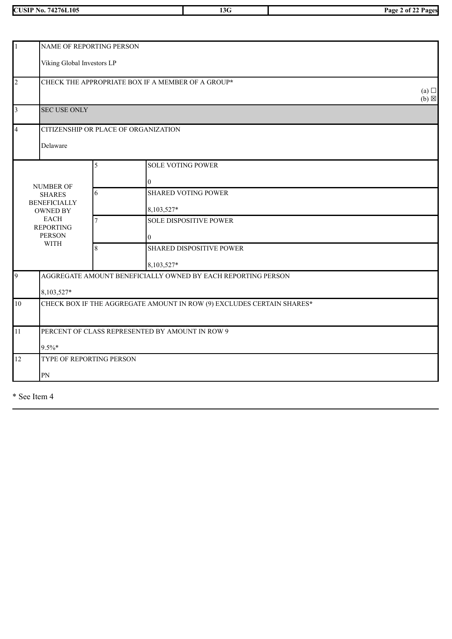| 74276L105<br><b>CUSIP No.</b> | $\sim$<br>13G |  |
|-------------------------------|---------------|--|

**CUSIP No. 74276L105 13G Page 2 of 22 Pages**

|                | NAME OF REPORTING PERSON               |        |                                                                       |  |  |  |  |
|----------------|----------------------------------------|--------|-----------------------------------------------------------------------|--|--|--|--|
|                | Viking Global Investors LP             |        |                                                                       |  |  |  |  |
| $\overline{2}$ |                                        |        | CHECK THE APPROPRIATE BOX IF A MEMBER OF A GROUP*                     |  |  |  |  |
|                | $(a)$ $\square$<br>$(b) \boxtimes$     |        |                                                                       |  |  |  |  |
| 3              | <b>SEC USE ONLY</b>                    |        |                                                                       |  |  |  |  |
| $\overline{4}$ |                                        |        | CITIZENSHIP OR PLACE OF ORGANIZATION                                  |  |  |  |  |
|                | Delaware                               |        |                                                                       |  |  |  |  |
|                |                                        | 5      | <b>SOLE VOTING POWER</b>                                              |  |  |  |  |
|                |                                        |        | $\overline{0}$                                                        |  |  |  |  |
|                | <b>NUMBER OF</b><br><b>SHARES</b>      | 6      | <b>SHARED VOTING POWER</b>                                            |  |  |  |  |
|                | <b>BENEFICIALLY</b><br><b>OWNED BY</b> |        | 8,103,527*                                                            |  |  |  |  |
|                | <b>EACH</b><br><b>REPORTING</b>        | $\tau$ | <b>SOLE DISPOSITIVE POWER</b>                                         |  |  |  |  |
|                | <b>PERSON</b>                          |        | 0                                                                     |  |  |  |  |
|                | <b>WITH</b>                            | 8      | <b>SHARED DISPOSITIVE POWER</b>                                       |  |  |  |  |
|                |                                        |        | 8,103,527*                                                            |  |  |  |  |
| 9              |                                        |        | AGGREGATE AMOUNT BENEFICIALLY OWNED BY EACH REPORTING PERSON          |  |  |  |  |
|                | 8,103,527*                             |        |                                                                       |  |  |  |  |
| $10\,$         |                                        |        | CHECK BOX IF THE AGGREGATE AMOUNT IN ROW (9) EXCLUDES CERTAIN SHARES* |  |  |  |  |
|                |                                        |        |                                                                       |  |  |  |  |
| 11             |                                        |        | PERCENT OF CLASS REPRESENTED BY AMOUNT IN ROW 9                       |  |  |  |  |
| $9.5\%*$       |                                        |        |                                                                       |  |  |  |  |
| 12             | TYPE OF REPORTING PERSON               |        |                                                                       |  |  |  |  |
|                | PN                                     |        |                                                                       |  |  |  |  |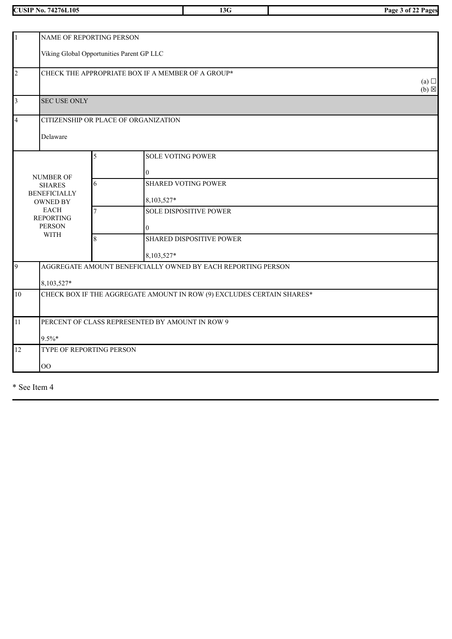**CUSIP No. 74276L105 13G Page 3 of 22 Pages**

| $\mathbf{1}$<br>NAME OF REPORTING PERSON |                                                   |                |                                                                       |                 |  |  |  |
|------------------------------------------|---------------------------------------------------|----------------|-----------------------------------------------------------------------|-----------------|--|--|--|
|                                          | Viking Global Opportunities Parent GP LLC         |                |                                                                       |                 |  |  |  |
| $\overline{c}$                           | CHECK THE APPROPRIATE BOX IF A MEMBER OF A GROUP* |                |                                                                       |                 |  |  |  |
| $\overline{3}$                           | <b>SEC USE ONLY</b>                               |                |                                                                       | $(b) \boxtimes$ |  |  |  |
| $\overline{4}$                           |                                                   |                | CITIZENSHIP OR PLACE OF ORGANIZATION                                  |                 |  |  |  |
|                                          | Delaware                                          |                |                                                                       |                 |  |  |  |
|                                          |                                                   | 5              | <b>SOLE VOTING POWER</b>                                              |                 |  |  |  |
|                                          | <b>NUMBER OF</b>                                  |                | $\overline{0}$                                                        |                 |  |  |  |
|                                          | <b>SHARES</b>                                     | 6              | <b>SHARED VOTING POWER</b>                                            |                 |  |  |  |
|                                          | <b>BENEFICIALLY</b><br><b>OWNED BY</b>            |                | 8,103,527*                                                            |                 |  |  |  |
|                                          | <b>EACH</b><br><b>REPORTING</b>                   | $\overline{7}$ | SOLE DISPOSITIVE POWER                                                |                 |  |  |  |
|                                          | <b>PERSON</b>                                     |                | $\overline{0}$                                                        |                 |  |  |  |
|                                          | <b>WITH</b>                                       | 8              | <b>SHARED DISPOSITIVE POWER</b>                                       |                 |  |  |  |
|                                          |                                                   |                | 8,103,527*                                                            |                 |  |  |  |
| 9                                        |                                                   |                | AGGREGATE AMOUNT BENEFICIALLY OWNED BY EACH REPORTING PERSON          |                 |  |  |  |
|                                          | 8,103,527*                                        |                |                                                                       |                 |  |  |  |
| 10                                       |                                                   |                | CHECK BOX IF THE AGGREGATE AMOUNT IN ROW (9) EXCLUDES CERTAIN SHARES* |                 |  |  |  |
|                                          |                                                   |                |                                                                       |                 |  |  |  |
| 11                                       |                                                   |                | PERCENT OF CLASS REPRESENTED BY AMOUNT IN ROW 9                       |                 |  |  |  |
|                                          | $9.5\%*$                                          |                |                                                                       |                 |  |  |  |
| 12                                       | TYPE OF REPORTING PERSON                          |                |                                                                       |                 |  |  |  |
|                                          | $\overline{O}O$                                   |                |                                                                       |                 |  |  |  |
|                                          |                                                   |                |                                                                       |                 |  |  |  |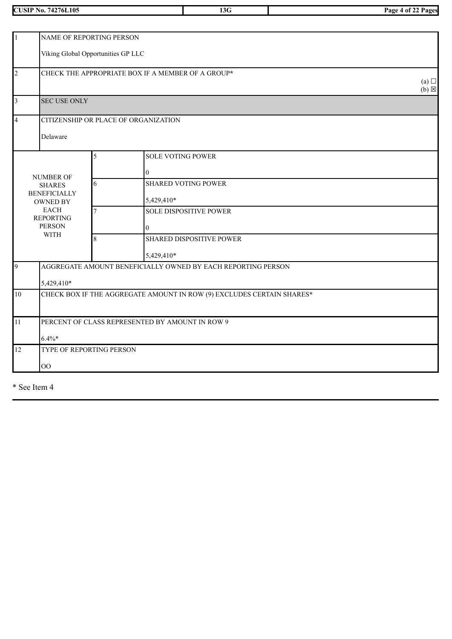**CUSIP No. 74276L105 13G Page 4 of 22 Pages**

| $\vert$ 1                                             | NAME OF REPORTING PERSON                          |     |                                                                       |  |  |  |  |
|-------------------------------------------------------|---------------------------------------------------|-----|-----------------------------------------------------------------------|--|--|--|--|
|                                                       | Viking Global Opportunities GP LLC                |     |                                                                       |  |  |  |  |
| $\overline{2}$                                        | CHECK THE APPROPRIATE BOX IF A MEMBER OF A GROUP* | (a) |                                                                       |  |  |  |  |
|                                                       |                                                   |     |                                                                       |  |  |  |  |
| 3                                                     | <b>SEC USE ONLY</b>                               |     |                                                                       |  |  |  |  |
| $\overline{4}$                                        |                                                   |     | CITIZENSHIP OR PLACE OF ORGANIZATION                                  |  |  |  |  |
|                                                       | Delaware                                          |     |                                                                       |  |  |  |  |
|                                                       |                                                   | 5   | <b>SOLE VOTING POWER</b>                                              |  |  |  |  |
|                                                       | <b>NUMBER OF</b>                                  |     | $\overline{0}$                                                        |  |  |  |  |
|                                                       | <b>SHARES</b>                                     | 6   | <b>SHARED VOTING POWER</b>                                            |  |  |  |  |
|                                                       | <b>BENEFICIALLY</b><br><b>OWNED BY</b>            |     | 5,429,410*                                                            |  |  |  |  |
|                                                       | <b>EACH</b><br><b>REPORTING</b>                   | 7   | <b>SOLE DISPOSITIVE POWER</b>                                         |  |  |  |  |
|                                                       | <b>PERSON</b><br><b>WITH</b>                      |     | $\overline{0}$                                                        |  |  |  |  |
|                                                       |                                                   | 8   | <b>SHARED DISPOSITIVE POWER</b>                                       |  |  |  |  |
|                                                       |                                                   |     | 5,429,410*                                                            |  |  |  |  |
| 9                                                     |                                                   |     | AGGREGATE AMOUNT BENEFICIALLY OWNED BY EACH REPORTING PERSON          |  |  |  |  |
|                                                       | 5,429,410*                                        |     |                                                                       |  |  |  |  |
| 10                                                    |                                                   |     | CHECK BOX IF THE AGGREGATE AMOUNT IN ROW (9) EXCLUDES CERTAIN SHARES* |  |  |  |  |
| PERCENT OF CLASS REPRESENTED BY AMOUNT IN ROW 9<br>11 |                                                   |     |                                                                       |  |  |  |  |
|                                                       | $6.4\%*$                                          |     |                                                                       |  |  |  |  |
| 12<br>TYPE OF REPORTING PERSON                        |                                                   |     |                                                                       |  |  |  |  |
|                                                       | $\overline{O}O$                                   |     |                                                                       |  |  |  |  |
|                                                       |                                                   |     |                                                                       |  |  |  |  |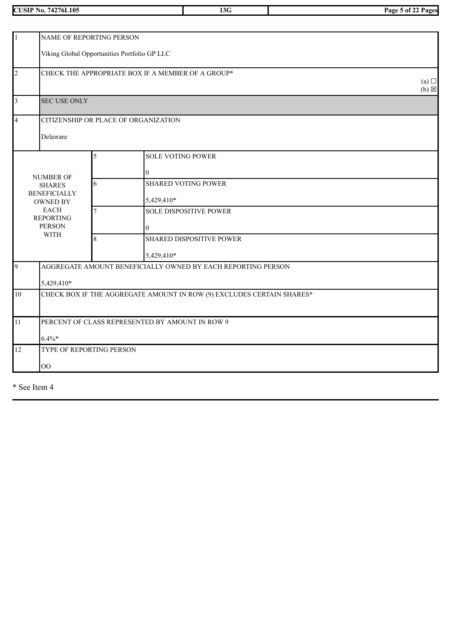**CUSIP No. 74276L105 13G Page 5 of 22 Pages**

| $\overline{1}$ | NAME OF REPORTING PERSON                                                    |   |                                                                       |  |  |  |
|----------------|-----------------------------------------------------------------------------|---|-----------------------------------------------------------------------|--|--|--|
|                | Viking Global Opportunities Portfolio GP LLC                                |   |                                                                       |  |  |  |
| $\overline{2}$ | CHECK THE APPROPRIATE BOX IF A MEMBER OF A GROUP*<br>(a)<br>$(b) \boxtimes$ |   |                                                                       |  |  |  |
| $\overline{3}$ | <b>SEC USE ONLY</b>                                                         |   |                                                                       |  |  |  |
| $\overline{4}$ |                                                                             |   | CITIZENSHIP OR PLACE OF ORGANIZATION                                  |  |  |  |
|                | Delaware                                                                    |   |                                                                       |  |  |  |
|                |                                                                             | 5 | <b>SOLE VOTING POWER</b>                                              |  |  |  |
|                |                                                                             |   | $\boldsymbol{0}$                                                      |  |  |  |
|                | <b>NUMBER OF</b><br><b>SHARES</b>                                           | 6 | <b>SHARED VOTING POWER</b>                                            |  |  |  |
|                | <b>BENEFICIALLY</b><br><b>OWNED BY</b>                                      |   | 5,429,410*                                                            |  |  |  |
|                | <b>EACH</b><br><b>REPORTING</b>                                             | 7 | <b>SOLE DISPOSITIVE POWER</b>                                         |  |  |  |
|                | <b>PERSON</b>                                                               |   | $\overline{0}$                                                        |  |  |  |
|                | <b>WITH</b>                                                                 | 8 | <b>SHARED DISPOSITIVE POWER</b>                                       |  |  |  |
|                |                                                                             |   | 5,429,410*                                                            |  |  |  |
| 9              |                                                                             |   | AGGREGATE AMOUNT BENEFICIALLY OWNED BY EACH REPORTING PERSON          |  |  |  |
|                | 5,429,410*                                                                  |   |                                                                       |  |  |  |
| 10             |                                                                             |   | CHECK BOX IF THE AGGREGATE AMOUNT IN ROW (9) EXCLUDES CERTAIN SHARES* |  |  |  |
| 11             |                                                                             |   | PERCENT OF CLASS REPRESENTED BY AMOUNT IN ROW 9                       |  |  |  |
| $6.4\%*$       |                                                                             |   |                                                                       |  |  |  |
| 12             | TYPE OF REPORTING PERSON                                                    |   |                                                                       |  |  |  |
|                | $\overline{O}O$                                                             |   |                                                                       |  |  |  |
|                |                                                                             |   |                                                                       |  |  |  |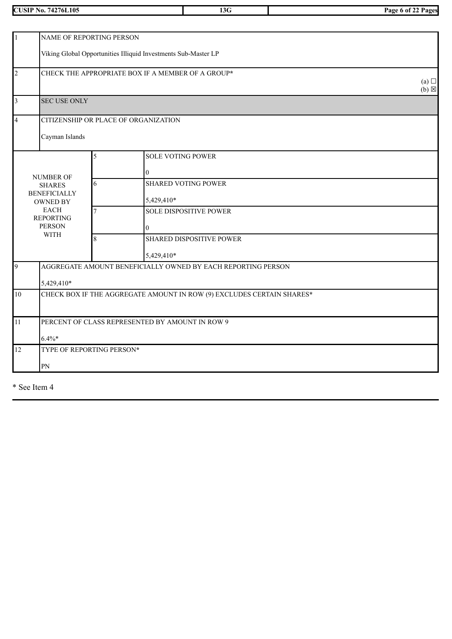**CUSIP No. 74276L105 13G Page 6 of 22 Pages**

|                                                                     | NAME OF REPORTING PERSON                                       |   |                                                                       |  |  |  |  |
|---------------------------------------------------------------------|----------------------------------------------------------------|---|-----------------------------------------------------------------------|--|--|--|--|
|                                                                     |                                                                |   |                                                                       |  |  |  |  |
|                                                                     | Viking Global Opportunities Illiquid Investments Sub-Master LP |   |                                                                       |  |  |  |  |
| $\overline{c}$<br>CHECK THE APPROPRIATE BOX IF A MEMBER OF A GROUP* |                                                                |   |                                                                       |  |  |  |  |
|                                                                     | (a)<br>$(b) \boxtimes$                                         |   |                                                                       |  |  |  |  |
| 3                                                                   | <b>SEC USE ONLY</b>                                            |   |                                                                       |  |  |  |  |
| 4                                                                   |                                                                |   | CITIZENSHIP OR PLACE OF ORGANIZATION                                  |  |  |  |  |
|                                                                     | Cayman Islands                                                 |   |                                                                       |  |  |  |  |
|                                                                     |                                                                |   |                                                                       |  |  |  |  |
|                                                                     |                                                                | 5 | <b>SOLE VOTING POWER</b>                                              |  |  |  |  |
|                                                                     | <b>NUMBER OF</b>                                               |   | $\overline{0}$                                                        |  |  |  |  |
|                                                                     | <b>SHARES</b>                                                  | 6 | <b>SHARED VOTING POWER</b>                                            |  |  |  |  |
|                                                                     | <b>BENEFICIALLY</b><br><b>OWNED BY</b>                         |   | 5,429,410*                                                            |  |  |  |  |
|                                                                     | <b>EACH</b><br><b>REPORTING</b>                                | 7 | <b>SOLE DISPOSITIVE POWER</b>                                         |  |  |  |  |
|                                                                     | <b>PERSON</b>                                                  |   | $\overline{0}$                                                        |  |  |  |  |
|                                                                     | <b>WITH</b>                                                    | 8 | <b>SHARED DISPOSITIVE POWER</b>                                       |  |  |  |  |
|                                                                     |                                                                |   | 5,429,410*                                                            |  |  |  |  |
| 9                                                                   |                                                                |   | AGGREGATE AMOUNT BENEFICIALLY OWNED BY EACH REPORTING PERSON          |  |  |  |  |
|                                                                     | 5,429,410*                                                     |   |                                                                       |  |  |  |  |
| $10\,$                                                              |                                                                |   | CHECK BOX IF THE AGGREGATE AMOUNT IN ROW (9) EXCLUDES CERTAIN SHARES* |  |  |  |  |
|                                                                     |                                                                |   |                                                                       |  |  |  |  |
| 11                                                                  |                                                                |   | PERCENT OF CLASS REPRESENTED BY AMOUNT IN ROW 9                       |  |  |  |  |
|                                                                     | $6.4\%*$                                                       |   |                                                                       |  |  |  |  |
| 12                                                                  | TYPE OF REPORTING PERSON*                                      |   |                                                                       |  |  |  |  |
|                                                                     | ${\rm PN}$                                                     |   |                                                                       |  |  |  |  |
|                                                                     |                                                                |   |                                                                       |  |  |  |  |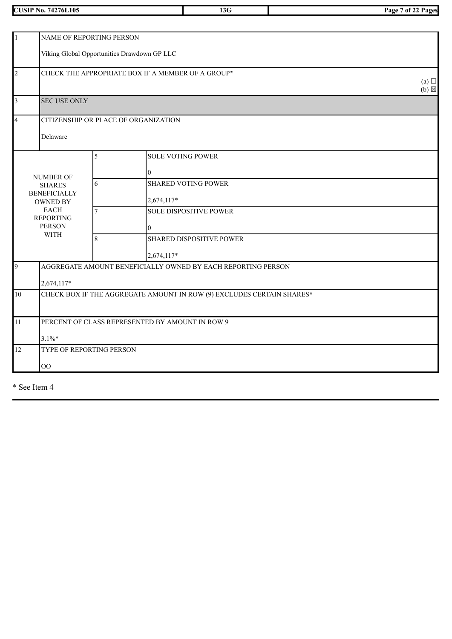**CUSIP No. 74276L105 13G Page 7 of 22 Pages**

| 1              | NAME OF REPORTING PERSON                                              |                |                                                              |  |  |  |  |
|----------------|-----------------------------------------------------------------------|----------------|--------------------------------------------------------------|--|--|--|--|
|                | Viking Global Opportunities Drawdown GP LLC                           |                |                                                              |  |  |  |  |
| $\overline{c}$ | CHECK THE APPROPRIATE BOX IF A MEMBER OF A GROUP*                     |                |                                                              |  |  |  |  |
| 3              | <b>SEC USE ONLY</b>                                                   |                |                                                              |  |  |  |  |
| 4              |                                                                       |                | CITIZENSHIP OR PLACE OF ORGANIZATION                         |  |  |  |  |
|                | Delaware                                                              |                |                                                              |  |  |  |  |
|                |                                                                       | 5              | <b>SOLE VOTING POWER</b>                                     |  |  |  |  |
|                | <b>NUMBER OF</b>                                                      |                | $\Omega$                                                     |  |  |  |  |
|                | <b>SHARES</b>                                                         | 6              | <b>SHARED VOTING POWER</b>                                   |  |  |  |  |
|                | <b>BENEFICIALLY</b><br><b>OWNED BY</b>                                |                | 2,674,117*                                                   |  |  |  |  |
|                | <b>EACH</b><br><b>REPORTING</b>                                       | $\overline{7}$ | <b>SOLE DISPOSITIVE POWER</b>                                |  |  |  |  |
|                | <b>PERSON</b><br><b>WITH</b>                                          |                | $\theta$                                                     |  |  |  |  |
|                |                                                                       | 8              | <b>SHARED DISPOSITIVE POWER</b>                              |  |  |  |  |
|                |                                                                       |                | 2,674,117*                                                   |  |  |  |  |
| 9              |                                                                       |                | AGGREGATE AMOUNT BENEFICIALLY OWNED BY EACH REPORTING PERSON |  |  |  |  |
|                | 2,674,117*                                                            |                |                                                              |  |  |  |  |
| $10\,$         | CHECK BOX IF THE AGGREGATE AMOUNT IN ROW (9) EXCLUDES CERTAIN SHARES* |                |                                                              |  |  |  |  |
| 11             |                                                                       |                | PERCENT OF CLASS REPRESENTED BY AMOUNT IN ROW 9              |  |  |  |  |
|                | $3.1\%*$                                                              |                |                                                              |  |  |  |  |
| 12             | TYPE OF REPORTING PERSON                                              |                |                                                              |  |  |  |  |
|                | O <sub>O</sub>                                                        |                |                                                              |  |  |  |  |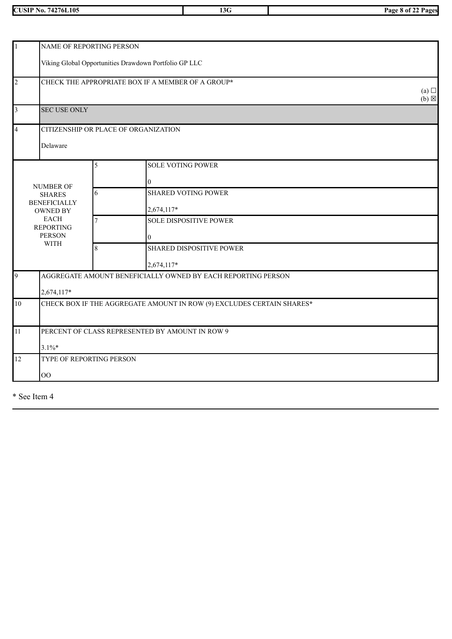| 74276L105<br>/USIP<br>NO. | ∸<br>∼ | "age<br>Pages<br>i ot |
|---------------------------|--------|-----------------------|

| $\overline{1}$          |                                      | NAME OF REPORTING PERSON                                              |                                                              |                 |  |  |  |
|-------------------------|--------------------------------------|-----------------------------------------------------------------------|--------------------------------------------------------------|-----------------|--|--|--|
|                         |                                      | Viking Global Opportunities Drawdown Portfolio GP LLC                 |                                                              |                 |  |  |  |
|                         |                                      |                                                                       |                                                              |                 |  |  |  |
| $\overline{c}$          |                                      |                                                                       | CHECK THE APPROPRIATE BOX IF A MEMBER OF A GROUP*            |                 |  |  |  |
|                         |                                      |                                                                       |                                                              | (a)             |  |  |  |
|                         |                                      |                                                                       |                                                              | $(b) \boxtimes$ |  |  |  |
| $\overline{\mathbf{3}}$ | <b>SEC USE ONLY</b>                  |                                                                       |                                                              |                 |  |  |  |
| $\overline{4}$          |                                      |                                                                       | CITIZENSHIP OR PLACE OF ORGANIZATION                         |                 |  |  |  |
|                         |                                      |                                                                       |                                                              |                 |  |  |  |
|                         | Delaware                             |                                                                       |                                                              |                 |  |  |  |
|                         |                                      | 5                                                                     | <b>SOLE VOTING POWER</b>                                     |                 |  |  |  |
|                         |                                      |                                                                       |                                                              |                 |  |  |  |
|                         | <b>NUMBER OF</b>                     |                                                                       | $\theta$                                                     |                 |  |  |  |
|                         | <b>SHARES</b><br><b>BENEFICIALLY</b> | 6                                                                     | <b>SHARED VOTING POWER</b>                                   |                 |  |  |  |
|                         | <b>OWNED BY</b>                      |                                                                       | 2,674,117*                                                   |                 |  |  |  |
|                         | <b>EACH</b>                          | $\overline{7}$                                                        | <b>SOLE DISPOSITIVE POWER</b>                                |                 |  |  |  |
|                         | <b>REPORTING</b><br><b>PERSON</b>    |                                                                       | $\theta$                                                     |                 |  |  |  |
|                         | <b>WITH</b>                          | 8                                                                     | <b>SHARED DISPOSITIVE POWER</b>                              |                 |  |  |  |
|                         |                                      |                                                                       |                                                              |                 |  |  |  |
|                         |                                      |                                                                       | 2,674,117*                                                   |                 |  |  |  |
| $\overline{9}$          |                                      |                                                                       | AGGREGATE AMOUNT BENEFICIALLY OWNED BY EACH REPORTING PERSON |                 |  |  |  |
|                         | 2,674,117*                           |                                                                       |                                                              |                 |  |  |  |
| 10                      |                                      | CHECK BOX IF THE AGGREGATE AMOUNT IN ROW (9) EXCLUDES CERTAIN SHARES* |                                                              |                 |  |  |  |
|                         |                                      |                                                                       |                                                              |                 |  |  |  |
| 11                      |                                      |                                                                       | PERCENT OF CLASS REPRESENTED BY AMOUNT IN ROW 9              |                 |  |  |  |
|                         |                                      |                                                                       |                                                              |                 |  |  |  |
|                         | $3.1\%$ *                            |                                                                       |                                                              |                 |  |  |  |
| 12                      | TYPE OF REPORTING PERSON             |                                                                       |                                                              |                 |  |  |  |
|                         | OO                                   |                                                                       |                                                              |                 |  |  |  |
|                         |                                      |                                                                       |                                                              |                 |  |  |  |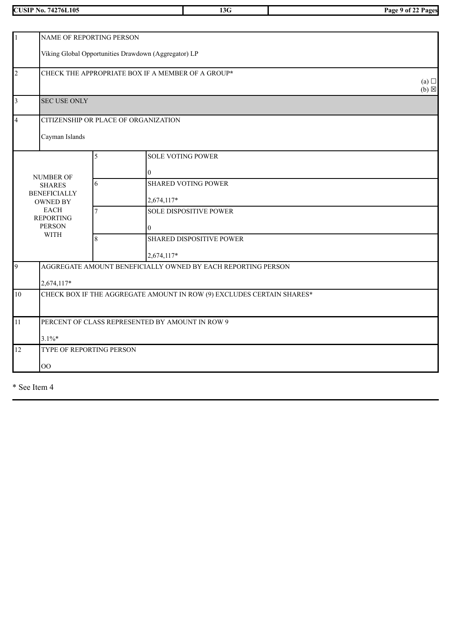**CUSIP No. 74276L105 13G Page 9 of 22 Pages**

| $\mathbf{1}$<br>NAME OF REPORTING PERSON |                                                                             |                |                                                                       |  |  |  |
|------------------------------------------|-----------------------------------------------------------------------------|----------------|-----------------------------------------------------------------------|--|--|--|
|                                          | Viking Global Opportunities Drawdown (Aggregator) LP                        |                |                                                                       |  |  |  |
| $\overline{c}$                           | CHECK THE APPROPRIATE BOX IF A MEMBER OF A GROUP*<br>(a)<br>$(b) \boxtimes$ |                |                                                                       |  |  |  |
| $\overline{3}$                           | <b>SEC USE ONLY</b>                                                         |                |                                                                       |  |  |  |
| $\overline{4}$                           |                                                                             |                | CITIZENSHIP OR PLACE OF ORGANIZATION                                  |  |  |  |
|                                          | Cayman Islands                                                              |                |                                                                       |  |  |  |
|                                          |                                                                             | 5              | <b>SOLE VOTING POWER</b>                                              |  |  |  |
|                                          |                                                                             |                | $\Omega$                                                              |  |  |  |
|                                          | <b>NUMBER OF</b><br><b>SHARES</b>                                           | 6              | <b>SHARED VOTING POWER</b>                                            |  |  |  |
|                                          | <b>BENEFICIALLY</b><br><b>OWNED BY</b>                                      |                | 2,674,117*                                                            |  |  |  |
|                                          | <b>EACH</b><br><b>REPORTING</b>                                             | $\overline{7}$ | <b>SOLE DISPOSITIVE POWER</b>                                         |  |  |  |
|                                          | <b>PERSON</b>                                                               |                | $\Omega$                                                              |  |  |  |
|                                          | <b>WITH</b>                                                                 | 8              | <b>SHARED DISPOSITIVE POWER</b>                                       |  |  |  |
|                                          |                                                                             |                | 2,674,117*                                                            |  |  |  |
| 9                                        |                                                                             |                | AGGREGATE AMOUNT BENEFICIALLY OWNED BY EACH REPORTING PERSON          |  |  |  |
|                                          | 2,674,117*                                                                  |                |                                                                       |  |  |  |
| 10                                       |                                                                             |                | CHECK BOX IF THE AGGREGATE AMOUNT IN ROW (9) EXCLUDES CERTAIN SHARES* |  |  |  |
|                                          |                                                                             |                |                                                                       |  |  |  |
| 11                                       |                                                                             |                | PERCENT OF CLASS REPRESENTED BY AMOUNT IN ROW 9                       |  |  |  |
|                                          | $3.1\%*$                                                                    |                |                                                                       |  |  |  |
| 12                                       | TYPE OF REPORTING PERSON                                                    |                |                                                                       |  |  |  |
|                                          | $\overline{O}O$                                                             |                |                                                                       |  |  |  |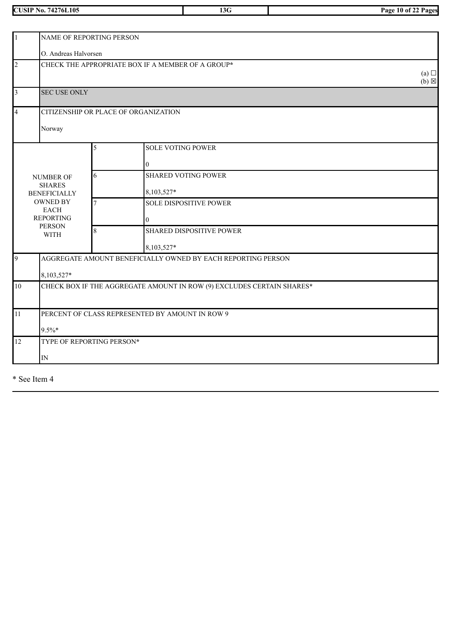**CUSIP No. 74276L105 13G Page 10 of 22 Pages**

| $\vert$ 1      | NAME OF REPORTING PERSON                                              |                |                                                              |  |  |  |  |
|----------------|-----------------------------------------------------------------------|----------------|--------------------------------------------------------------|--|--|--|--|
|                | O. Andreas Halvorsen                                                  |                |                                                              |  |  |  |  |
| $\overline{2}$ | CHECK THE APPROPRIATE BOX IF A MEMBER OF A GROUP*                     |                |                                                              |  |  |  |  |
| $\vert$ 3      | <b>SEC USE ONLY</b>                                                   |                |                                                              |  |  |  |  |
| $\overline{4}$ |                                                                       |                | CITIZENSHIP OR PLACE OF ORGANIZATION                         |  |  |  |  |
|                | Norway                                                                |                |                                                              |  |  |  |  |
|                |                                                                       | 5              | <b>SOLE VOTING POWER</b>                                     |  |  |  |  |
|                |                                                                       |                | $\overline{0}$                                               |  |  |  |  |
|                | <b>NUMBER OF</b>                                                      | 6              | <b>SHARED VOTING POWER</b>                                   |  |  |  |  |
|                | <b>SHARES</b><br><b>BENEFICIALLY</b>                                  |                | 8,103,527*                                                   |  |  |  |  |
|                | <b>OWNED BY</b><br><b>EACH</b>                                        | $\overline{7}$ | <b>SOLE DISPOSITIVE POWER</b>                                |  |  |  |  |
|                | <b>REPORTING</b><br><b>PERSON</b>                                     |                | $\overline{0}$                                               |  |  |  |  |
|                | <b>WITH</b>                                                           | 8              | <b>SHARED DISPOSITIVE POWER</b>                              |  |  |  |  |
|                |                                                                       |                | 8,103,527*                                                   |  |  |  |  |
| 9              |                                                                       |                | AGGREGATE AMOUNT BENEFICIALLY OWNED BY EACH REPORTING PERSON |  |  |  |  |
|                | 8,103,527*                                                            |                |                                                              |  |  |  |  |
| 10             | CHECK BOX IF THE AGGREGATE AMOUNT IN ROW (9) EXCLUDES CERTAIN SHARES* |                |                                                              |  |  |  |  |
| 11             |                                                                       |                | PERCENT OF CLASS REPRESENTED BY AMOUNT IN ROW 9              |  |  |  |  |
| $9.5\%*$       |                                                                       |                |                                                              |  |  |  |  |
| 12             | TYPE OF REPORTING PERSON*                                             |                |                                                              |  |  |  |  |
|                | $\mathbb{N}$                                                          |                |                                                              |  |  |  |  |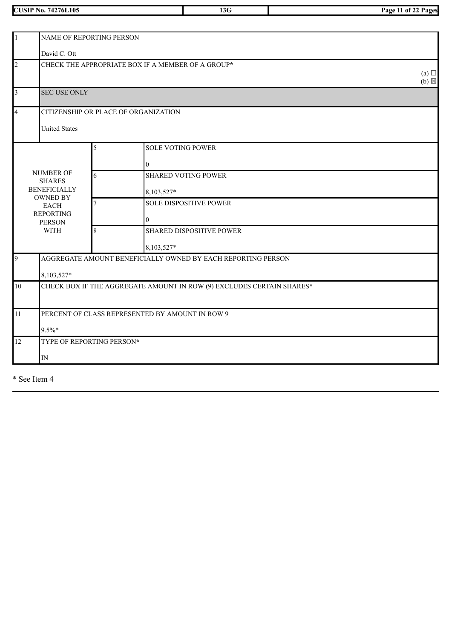**CUSIP No. 74276L105 13G Page 11 of 22 Pages**

| $\vert$ 1      | NAME OF REPORTING PERSON                          |   |                                                                       |  |  |  |  |
|----------------|---------------------------------------------------|---|-----------------------------------------------------------------------|--|--|--|--|
|                | David C. Ott                                      |   |                                                                       |  |  |  |  |
| $\overline{2}$ | CHECK THE APPROPRIATE BOX IF A MEMBER OF A GROUP* |   |                                                                       |  |  |  |  |
| $\vert$ 3      | $(b) \boxtimes$<br><b>SEC USE ONLY</b>            |   |                                                                       |  |  |  |  |
| $\overline{4}$ |                                                   |   | CITIZENSHIP OR PLACE OF ORGANIZATION                                  |  |  |  |  |
|                | <b>United States</b>                              |   |                                                                       |  |  |  |  |
|                |                                                   | 5 | <b>SOLE VOTING POWER</b>                                              |  |  |  |  |
|                |                                                   |   | 0                                                                     |  |  |  |  |
|                | <b>NUMBER OF</b><br><b>SHARES</b>                 | 6 | <b>SHARED VOTING POWER</b>                                            |  |  |  |  |
|                | <b>BENEFICIALLY</b><br><b>OWNED BY</b>            |   | 8,103,527*                                                            |  |  |  |  |
|                | <b>EACH</b>                                       |   | <b>SOLE DISPOSITIVE POWER</b>                                         |  |  |  |  |
|                | <b>REPORTING</b><br><b>PERSON</b>                 |   | $\boldsymbol{0}$                                                      |  |  |  |  |
|                | <b>WITH</b>                                       | 8 | <b>SHARED DISPOSITIVE POWER</b>                                       |  |  |  |  |
|                |                                                   |   | 8,103,527*                                                            |  |  |  |  |
| 9              |                                                   |   | AGGREGATE AMOUNT BENEFICIALLY OWNED BY EACH REPORTING PERSON          |  |  |  |  |
|                | 8,103,527*                                        |   |                                                                       |  |  |  |  |
| 10             |                                                   |   | CHECK BOX IF THE AGGREGATE AMOUNT IN ROW (9) EXCLUDES CERTAIN SHARES* |  |  |  |  |
| 11             |                                                   |   | PERCENT OF CLASS REPRESENTED BY AMOUNT IN ROW 9                       |  |  |  |  |
|                |                                                   |   |                                                                       |  |  |  |  |
| 12             | TYPE OF REPORTING PERSON*                         |   |                                                                       |  |  |  |  |
|                | ${\rm IN}$                                        |   |                                                                       |  |  |  |  |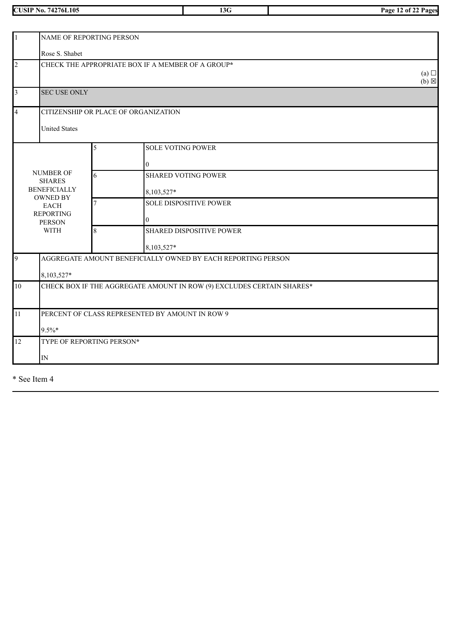**CUSIP No. 74276L105 13G Page 12 of 22 Pages**

| $\vert$ 1            | NAME OF REPORTING PERSON                                              |                |                                                              |                        |
|----------------------|-----------------------------------------------------------------------|----------------|--------------------------------------------------------------|------------------------|
|                      | Rose S. Shabet                                                        |                |                                                              |                        |
| $\overline{2}$       |                                                                       |                | CHECK THE APPROPRIATE BOX IF A MEMBER OF A GROUP*            | (a)<br>$(b) \boxtimes$ |
| $\vert$ 3            | <b>SEC USE ONLY</b>                                                   |                |                                                              |                        |
| $\overline{4}$       | CITIZENSHIP OR PLACE OF ORGANIZATION                                  |                |                                                              |                        |
| <b>United States</b> |                                                                       |                |                                                              |                        |
|                      |                                                                       | 5              | <b>SOLE VOTING POWER</b>                                     |                        |
|                      |                                                                       |                | 0                                                            |                        |
|                      | <b>NUMBER OF</b><br><b>SHARES</b>                                     | 6              | <b>SHARED VOTING POWER</b>                                   |                        |
|                      | <b>BENEFICIALLY</b><br><b>OWNED BY</b>                                |                | 8,103,527*                                                   |                        |
|                      | <b>EACH</b>                                                           | $\overline{7}$ | <b>SOLE DISPOSITIVE POWER</b>                                |                        |
|                      | <b>REPORTING</b><br><b>PERSON</b>                                     |                | $\mathbf{0}$                                                 |                        |
|                      | <b>WITH</b>                                                           | 8              | <b>SHARED DISPOSITIVE POWER</b>                              |                        |
|                      |                                                                       |                | 8,103,527*                                                   |                        |
| $\overline{9}$       |                                                                       |                | AGGREGATE AMOUNT BENEFICIALLY OWNED BY EACH REPORTING PERSON |                        |
| 8,103,527*           |                                                                       |                |                                                              |                        |
| 10                   | CHECK BOX IF THE AGGREGATE AMOUNT IN ROW (9) EXCLUDES CERTAIN SHARES* |                |                                                              |                        |
| 11                   |                                                                       |                | PERCENT OF CLASS REPRESENTED BY AMOUNT IN ROW 9              |                        |
|                      | $9.5\%*$                                                              |                |                                                              |                        |
| 12                   | TYPE OF REPORTING PERSON*                                             |                |                                                              |                        |
|                      | $\mathbb{N}$                                                          |                |                                                              |                        |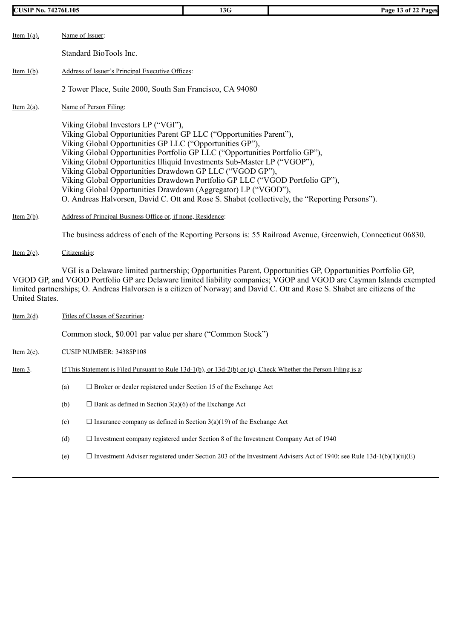| <b>CUSIP No. 74276L105</b> |                                                                                                                                                                                                                                                                                                                                                                                                                                                                                                                                                                                                                                                    | 13G | Page 13 of 22 Pages                                                                                                                                                                                                                                                                                                                                            |
|----------------------------|----------------------------------------------------------------------------------------------------------------------------------------------------------------------------------------------------------------------------------------------------------------------------------------------------------------------------------------------------------------------------------------------------------------------------------------------------------------------------------------------------------------------------------------------------------------------------------------------------------------------------------------------------|-----|----------------------------------------------------------------------------------------------------------------------------------------------------------------------------------------------------------------------------------------------------------------------------------------------------------------------------------------------------------------|
| Item $1(a)$ .              | Name of Issuer:                                                                                                                                                                                                                                                                                                                                                                                                                                                                                                                                                                                                                                    |     |                                                                                                                                                                                                                                                                                                                                                                |
|                            | Standard BioTools Inc.                                                                                                                                                                                                                                                                                                                                                                                                                                                                                                                                                                                                                             |     |                                                                                                                                                                                                                                                                                                                                                                |
| Item $1(b)$ .              | Address of Issuer's Principal Executive Offices:                                                                                                                                                                                                                                                                                                                                                                                                                                                                                                                                                                                                   |     |                                                                                                                                                                                                                                                                                                                                                                |
|                            | 2 Tower Place, Suite 2000, South San Francisco, CA 94080                                                                                                                                                                                                                                                                                                                                                                                                                                                                                                                                                                                           |     |                                                                                                                                                                                                                                                                                                                                                                |
| Item $2(a)$ .              | Name of Person Filing:                                                                                                                                                                                                                                                                                                                                                                                                                                                                                                                                                                                                                             |     |                                                                                                                                                                                                                                                                                                                                                                |
|                            | Viking Global Investors LP ("VGI"),<br>Viking Global Opportunities Parent GP LLC ("Opportunities Parent"),<br>Viking Global Opportunities GP LLC ("Opportunities GP"),<br>Viking Global Opportunities Portfolio GP LLC ("Opportunities Portfolio GP"),<br>Viking Global Opportunities Illiquid Investments Sub-Master LP ("VGOP"),<br>Viking Global Opportunities Drawdown GP LLC ("VGOD GP"),<br>Viking Global Opportunities Drawdown Portfolio GP LLC ("VGOD Portfolio GP"),<br>Viking Global Opportunities Drawdown (Aggregator) LP ("VGOD"),<br>O. Andreas Halvorsen, David C. Ott and Rose S. Shabet (collectively, the "Reporting Persons"). |     |                                                                                                                                                                                                                                                                                                                                                                |
| Item $2(b)$ .              | Address of Principal Business Office or, if none, Residence:                                                                                                                                                                                                                                                                                                                                                                                                                                                                                                                                                                                       |     |                                                                                                                                                                                                                                                                                                                                                                |
|                            |                                                                                                                                                                                                                                                                                                                                                                                                                                                                                                                                                                                                                                                    |     | The business address of each of the Reporting Persons is: 55 Railroad Avenue, Greenwich, Connecticut 06830.                                                                                                                                                                                                                                                    |
| Item $2(c)$ .              | Citizenship:                                                                                                                                                                                                                                                                                                                                                                                                                                                                                                                                                                                                                                       |     |                                                                                                                                                                                                                                                                                                                                                                |
| United States.             |                                                                                                                                                                                                                                                                                                                                                                                                                                                                                                                                                                                                                                                    |     | VGI is a Delaware limited partnership; Opportunities Parent, Opportunities GP, Opportunities Portfolio GP,<br>VGOD GP, and VGOD Portfolio GP are Delaware limited liability companies; VGOP and VGOD are Cayman Islands exempted<br>limited partnerships; O. Andreas Halvorsen is a citizen of Norway; and David C. Ott and Rose S. Shabet are citizens of the |

| Item $2(d)$ . | Titles of Classes of Securities:                                                                                  |                                                                                                                            |  |  |
|---------------|-------------------------------------------------------------------------------------------------------------------|----------------------------------------------------------------------------------------------------------------------------|--|--|
|               |                                                                                                                   | Common stock, \$0.001 par value per share ("Common Stock")                                                                 |  |  |
| Item $2(e)$ . |                                                                                                                   | CUSIP NUMBER: 34385P108                                                                                                    |  |  |
| Item 3.       | If This Statement is Filed Pursuant to Rule 13d-1(b), or $13d-2(b)$ or (c), Check Whether the Person Filing is a: |                                                                                                                            |  |  |
|               | (a)                                                                                                               | $\Box$ Broker or dealer registered under Section 15 of the Exchange Act                                                    |  |  |
|               | (b)                                                                                                               | $\Box$ Bank as defined in Section 3(a)(6) of the Exchange Act                                                              |  |  |
|               | (c)                                                                                                               | $\Box$ Insurance company as defined in Section 3(a)(19) of the Exchange Act                                                |  |  |
|               | (d)                                                                                                               | $\Box$ Investment company registered under Section 8 of the Investment Company Act of 1940                                 |  |  |
|               | (e)                                                                                                               | $\Box$ Investment Adviser registered under Section 203 of the Investment Advisers Act of 1940: see Rule 13d-1(b)(1)(ii)(E) |  |  |
|               |                                                                                                                   |                                                                                                                            |  |  |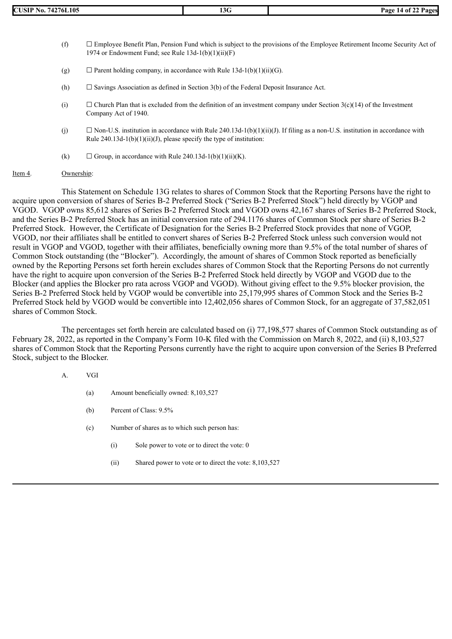- $(f)$   $\Box$  Employee Benefit Plan, Pension Fund which is subject to the provisions of the Employee Retirement Income Security Act of 1974 or Endowment Fund; see Rule 13d-1(b)(1)(ii)(F)
- (g)  $\Box$  Parent holding company, in accordance with Rule 13d-1(b)(1)(ii)(G).
- (h)  $\Box$  Savings Association as defined in Section 3(b) of the Federal Deposit Insurance Act.
- (i)  $\Box$  Church Plan that is excluded from the definition of an investment company under Section 3(c)(14) of the Investment Company Act of 1940.
- (j)  $\Box$  Non-U.S. institution in accordance with Rule 240.13d-1(b)(1)(ii)(J). If filing as a non-U.S. institution in accordance with Rule  $240.13d-1(b)(1)(ii)(J)$ , please specify the type of institution:
- (k)  $\Box$  Group, in accordance with Rule 240.13d-1(b)(1)(ii)(K).

#### Item 4. Ownership:

This Statement on Schedule 13G relates to shares of Common Stock that the Reporting Persons have the right to acquire upon conversion of shares of Series B-2 Preferred Stock ("Series B-2 Preferred Stock") held directly by VGOP and VGOD. VGOP owns 85,612 shares of Series B-2 Preferred Stock and VGOD owns 42,167 shares of Series B-2 Preferred Stock, and the Series B-2 Preferred Stock has an initial conversion rate of 294.1176 shares of Common Stock per share of Series B-2 Preferred Stock. However, the Certificate of Designation for the Series B-2 Preferred Stock provides that none of VGOP, VGOD, nor their affiliates shall be entitled to convert shares of Series B-2 Preferred Stock unless such conversion would not result in VGOP and VGOD, together with their affiliates, beneficially owning more than 9.5% of the total number of shares of Common Stock outstanding (the "Blocker"). Accordingly, the amount of shares of Common Stock reported as beneficially owned by the Reporting Persons set forth herein excludes shares of Common Stock that the Reporting Persons do not currently have the right to acquire upon conversion of the Series B-2 Preferred Stock held directly by VGOP and VGOD due to the Blocker (and applies the Blocker pro rata across VGOP and VGOD). Without giving effect to the 9.5% blocker provision, the Series B-2 Preferred Stock held by VGOP would be convertible into 25,179,995 shares of Common Stock and the Series B-2 Preferred Stock held by VGOD would be convertible into 12,402,056 shares of Common Stock, for an aggregate of 37,582,051 shares of Common Stock.

The percentages set forth herein are calculated based on (i) 77,198,577 shares of Common Stock outstanding as of February 28, 2022, as reported in the Company's Form 10-K filed with the Commission on March 8, 2022, and (ii) 8,103,527 shares of Common Stock that the Reporting Persons currently have the right to acquire upon conversion of the Series B Preferred Stock, subject to the Blocker.

### A. VGI

- (a) Amount beneficially owned: 8,103,527
- (b) Percent of Class: 9.5%
- (c) Number of shares as to which such person has:
	- (i) Sole power to vote or to direct the vote: 0
	- (ii) Shared power to vote or to direct the vote: 8,103,527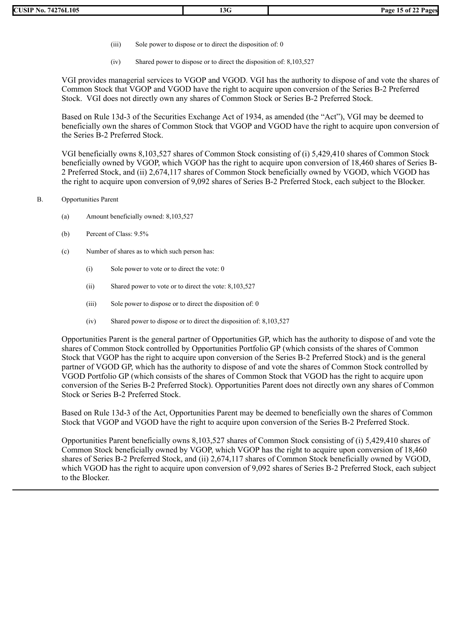- (iii) Sole power to dispose or to direct the disposition of: 0
- (iv) Shared power to dispose or to direct the disposition of: 8,103,527

VGI provides managerial services to VGOP and VGOD. VGI has the authority to dispose of and vote the shares of Common Stock that VGOP and VGOD have the right to acquire upon conversion of the Series B-2 Preferred Stock. VGI does not directly own any shares of Common Stock or Series B-2 Preferred Stock.

Based on Rule 13d-3 of the Securities Exchange Act of 1934, as amended (the "Act"), VGI may be deemed to beneficially own the shares of Common Stock that VGOP and VGOD have the right to acquire upon conversion of the Series B-2 Preferred Stock.

VGI beneficially owns 8,103,527 shares of Common Stock consisting of (i) 5,429,410 shares of Common Stock beneficially owned by VGOP, which VGOP has the right to acquire upon conversion of 18,460 shares of Series B-2 Preferred Stock, and (ii) 2,674,117 shares of Common Stock beneficially owned by VGOD, which VGOD has the right to acquire upon conversion of 9,092 shares of Series B-2 Preferred Stock, each subject to the Blocker.

- B. Opportunities Parent
	- (a) Amount beneficially owned: 8,103,527
	- (b) Percent of Class: 9.5%
	- (c) Number of shares as to which such person has:
		- (i) Sole power to vote or to direct the vote: 0
		- (ii) Shared power to vote or to direct the vote: 8,103,527
		- (iii) Sole power to dispose or to direct the disposition of: 0
		- (iv) Shared power to dispose or to direct the disposition of: 8,103,527

Opportunities Parent is the general partner of Opportunities GP, which has the authority to dispose of and vote the shares of Common Stock controlled by Opportunities Portfolio GP (which consists of the shares of Common Stock that VGOP has the right to acquire upon conversion of the Series B-2 Preferred Stock) and is the general partner of VGOD GP, which has the authority to dispose of and vote the shares of Common Stock controlled by VGOD Portfolio GP (which consists of the shares of Common Stock that VGOD has the right to acquire upon conversion of the Series B-2 Preferred Stock). Opportunities Parent does not directly own any shares of Common Stock or Series B-2 Preferred Stock.

Based on Rule 13d-3 of the Act, Opportunities Parent may be deemed to beneficially own the shares of Common Stock that VGOP and VGOD have the right to acquire upon conversion of the Series B-2 Preferred Stock.

Opportunities Parent beneficially owns 8,103,527 shares of Common Stock consisting of (i) 5,429,410 shares of Common Stock beneficially owned by VGOP, which VGOP has the right to acquire upon conversion of 18,460 shares of Series B-2 Preferred Stock, and (ii) 2,674,117 shares of Common Stock beneficially owned by VGOD, which VGOD has the right to acquire upon conversion of 9,092 shares of Series B-2 Preferred Stock, each subject to the Blocker.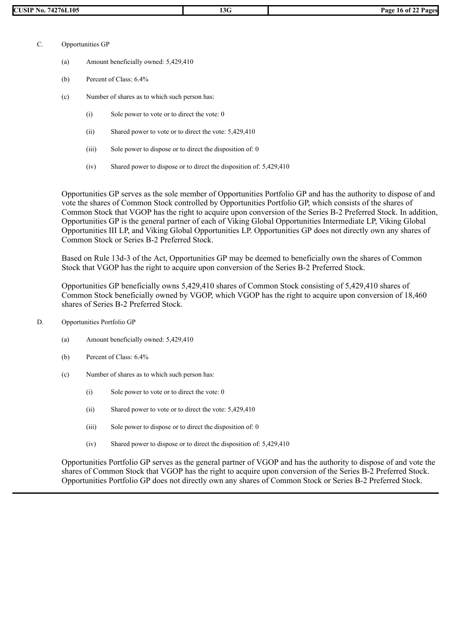- C. Opportunities GP
	- (a) Amount beneficially owned: 5,429,410
	- (b) Percent of Class: 6.4%
	- (c) Number of shares as to which such person has:
		- (i) Sole power to vote or to direct the vote: 0
		- (ii) Shared power to vote or to direct the vote: 5,429,410
		- (iii) Sole power to dispose or to direct the disposition of: 0
		- (iv) Shared power to dispose or to direct the disposition of: 5,429,410

Opportunities GP serves as the sole member of Opportunities Portfolio GP and has the authority to dispose of and vote the shares of Common Stock controlled by Opportunities Portfolio GP, which consists of the shares of Common Stock that VGOP has the right to acquire upon conversion of the Series B-2 Preferred Stock. In addition, Opportunities GP is the general partner of each of Viking Global Opportunities Intermediate LP, Viking Global Opportunities III LP, and Viking Global Opportunities LP. Opportunities GP does not directly own any shares of Common Stock or Series B-2 Preferred Stock.

Based on Rule 13d-3 of the Act, Opportunities GP may be deemed to beneficially own the shares of Common Stock that VGOP has the right to acquire upon conversion of the Series B-2 Preferred Stock.

Opportunities GP beneficially owns 5,429,410 shares of Common Stock consisting of 5,429,410 shares of Common Stock beneficially owned by VGOP, which VGOP has the right to acquire upon conversion of 18,460 shares of Series B-2 Preferred Stock.

- D. Opportunities Portfolio GP
	- (a) Amount beneficially owned: 5,429,410
	- (b) Percent of Class: 6.4%
	- (c) Number of shares as to which such person has:
		- (i) Sole power to vote or to direct the vote: 0
		- (ii) Shared power to vote or to direct the vote: 5,429,410
		- (iii) Sole power to dispose or to direct the disposition of: 0
		- (iv) Shared power to dispose or to direct the disposition of: 5,429,410

Opportunities Portfolio GP serves as the general partner of VGOP and has the authority to dispose of and vote the shares of Common Stock that VGOP has the right to acquire upon conversion of the Series B-2 Preferred Stock. Opportunities Portfolio GP does not directly own any shares of Common Stock or Series B-2 Preferred Stock.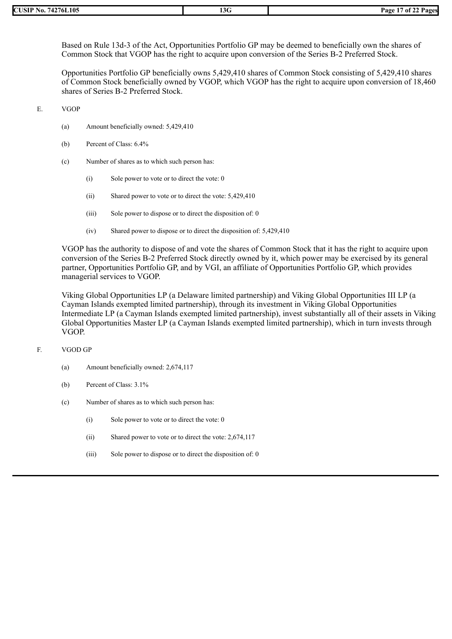| 74276L105<br>CUSIP No. | 13G | Page 1.<br>$\sqrt{7}$ of 2. |
|------------------------|-----|-----------------------------|

Based on Rule 13d-3 of the Act, Opportunities Portfolio GP may be deemed to beneficially own the shares of Common Stock that VGOP has the right to acquire upon conversion of the Series B-2 Preferred Stock.

Opportunities Portfolio GP beneficially owns 5,429,410 shares of Common Stock consisting of 5,429,410 shares of Common Stock beneficially owned by VGOP, which VGOP has the right to acquire upon conversion of 18,460 shares of Series B-2 Preferred Stock.

E. VGOP

- (a) Amount beneficially owned: 5,429,410
- (b) Percent of Class: 6.4%
- (c) Number of shares as to which such person has:
	- (i) Sole power to vote or to direct the vote: 0
	- (ii) Shared power to vote or to direct the vote: 5,429,410
	- (iii) Sole power to dispose or to direct the disposition of: 0
	- (iv) Shared power to dispose or to direct the disposition of: 5,429,410

VGOP has the authority to dispose of and vote the shares of Common Stock that it has the right to acquire upon conversion of the Series B-2 Preferred Stock directly owned by it, which power may be exercised by its general partner, Opportunities Portfolio GP, and by VGI, an affiliate of Opportunities Portfolio GP, which provides managerial services to VGOP.

Viking Global Opportunities LP (a Delaware limited partnership) and Viking Global Opportunities III LP (a Cayman Islands exempted limited partnership), through its investment in Viking Global Opportunities Intermediate LP (a Cayman Islands exempted limited partnership), invest substantially all of their assets in Viking Global Opportunities Master LP (a Cayman Islands exempted limited partnership), which in turn invests through VGOP.

## F. VGOD GP

- (a) Amount beneficially owned: 2,674,117
- (b) Percent of Class: 3.1%
- (c) Number of shares as to which such person has:
	- (i) Sole power to vote or to direct the vote: 0
	- (ii) Shared power to vote or to direct the vote: 2,674,117
	- (iii) Sole power to dispose or to direct the disposition of: 0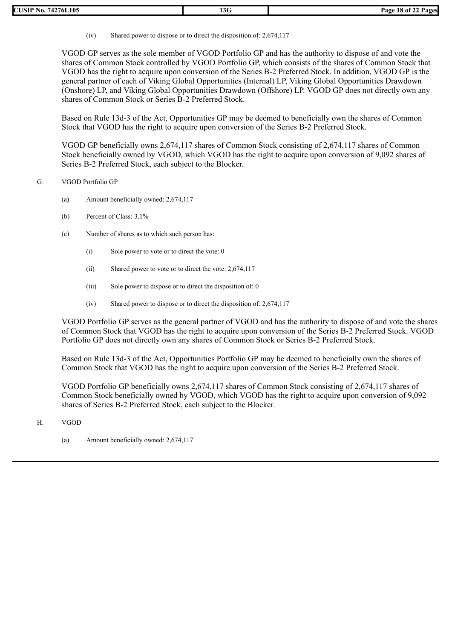(iv) Shared power to dispose or to direct the disposition of: 2,674,117

VGOD GP serves as the sole member of VGOD Portfolio GP and has the authority to dispose of and vote the shares of Common Stock controlled by VGOD Portfolio GP, which consists of the shares of Common Stock that VGOD has the right to acquire upon conversion of the Series B-2 Preferred Stock. In addition, VGOD GP is the general partner of each of Viking Global Opportunities (Internal) LP, Viking Global Opportunities Drawdown (Onshore) LP, and Viking Global Opportunities Drawdown (Offshore) LP. VGOD GP does not directly own any shares of Common Stock or Series B-2 Preferred Stock.

Based on Rule 13d-3 of the Act, Opportunities GP may be deemed to beneficially own the shares of Common Stock that VGOD has the right to acquire upon conversion of the Series B-2 Preferred Stock.

VGOD GP beneficially owns 2,674,117 shares of Common Stock consisting of 2,674,117 shares of Common Stock beneficially owned by VGOD, which VGOD has the right to acquire upon conversion of 9,092 shares of Series B-2 Preferred Stock, each subject to the Blocker.

# G. VGOD Portfolio GP

- (a) Amount beneficially owned: 2,674,117
- (b) Percent of Class: 3.1%
- (c) Number of shares as to which such person has:
	- (i) Sole power to vote or to direct the vote: 0
	- (ii) Shared power to vote or to direct the vote: 2,674,117
	- (iii) Sole power to dispose or to direct the disposition of: 0
	- (iv) Shared power to dispose or to direct the disposition of: 2,674,117

VGOD Portfolio GP serves as the general partner of VGOD and has the authority to dispose of and vote the shares of Common Stock that VGOD has the right to acquire upon conversion of the Series B-2 Preferred Stock. VGOD Portfolio GP does not directly own any shares of Common Stock or Series B-2 Preferred Stock.

Based on Rule 13d-3 of the Act, Opportunities Portfolio GP may be deemed to beneficially own the shares of Common Stock that VGOD has the right to acquire upon conversion of the Series B-2 Preferred Stock.

VGOD Portfolio GP beneficially owns 2,674,117 shares of Common Stock consisting of 2,674,117 shares of Common Stock beneficially owned by VGOD, which VGOD has the right to acquire upon conversion of 9,092 shares of Series B-2 Preferred Stock, each subject to the Blocker.

- H. VGOD
	- (a) Amount beneficially owned: 2,674,117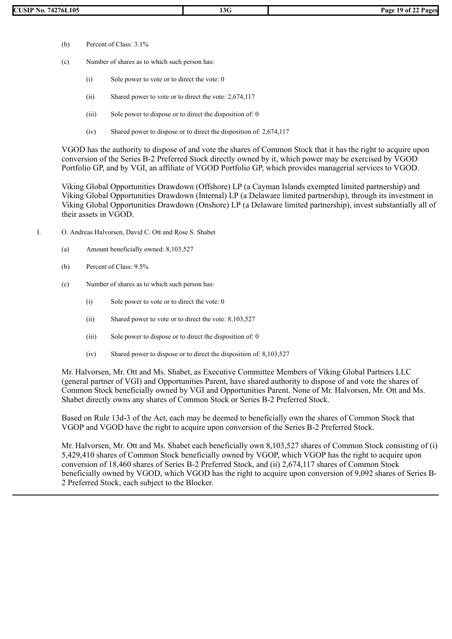- (b) Percent of Class: 3.1%
- (c) Number of shares as to which such person has:
	- (i) Sole power to vote or to direct the vote: 0
	- (ii) Shared power to vote or to direct the vote: 2,674,117
	- (iii) Sole power to dispose or to direct the disposition of: 0
	- (iv) Shared power to dispose or to direct the disposition of: 2,674,117

VGOD has the authority to dispose of and vote the shares of Common Stock that it has the right to acquire upon conversion of the Series B-2 Preferred Stock directly owned by it, which power may be exercised by VGOD Portfolio GP, and by VGI, an affiliate of VGOD Portfolio GP, which provides managerial services to VGOD.

Viking Global Opportunities Drawdown (Offshore) LP (a Cayman Islands exempted limited partnership) and Viking Global Opportunities Drawdown (Internal) LP (a Delaware limited partnership), through its investment in Viking Global Opportunities Drawdown (Onshore) LP (a Delaware limited partnership), invest substantially all of their assets in VGOD.

- I. O. Andreas Halvorsen, David C. Ott and Rose S. Shabet
	- (a) Amount beneficially owned: 8,103,527
	- (b) Percent of Class: 9.5%
	- (c) Number of shares as to which such person has:
		- (i) Sole power to vote or to direct the vote: 0
		- (ii) Shared power to vote or to direct the vote: 8,103,527
		- (iii) Sole power to dispose or to direct the disposition of: 0
		- (iv) Shared power to dispose or to direct the disposition of: 8,103,527

Mr. Halvorsen, Mr. Ott and Ms. Shabet, as Executive Committee Members of Viking Global Partners LLC (general partner of VGI) and Opportunities Parent, have shared authority to dispose of and vote the shares of Common Stock beneficially owned by VGI and Opportunities Parent. None of Mr. Halvorsen, Mr. Ott and Ms. Shabet directly owns any shares of Common Stock or Series B-2 Preferred Stock.

Based on Rule 13d-3 of the Act, each may be deemed to beneficially own the shares of Common Stock that VGOP and VGOD have the right to acquire upon conversion of the Series B-2 Preferred Stock.

Mr. Halvorsen, Mr. Ott and Ms. Shabet each beneficially own 8,103,527 shares of Common Stock consisting of (i) 5,429,410 shares of Common Stock beneficially owned by VGOP, which VGOP has the right to acquire upon conversion of 18,460 shares of Series B-2 Preferred Stock, and (ii) 2,674,117 shares of Common Stock beneficially owned by VGOD, which VGOD has the right to acquire upon conversion of 9,092 shares of Series B-2 Preferred Stock, each subject to the Blocker.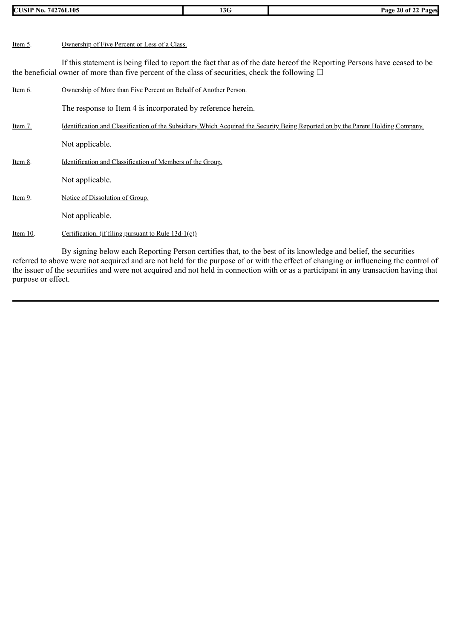| <b>CUSIP No. 74276L105</b> |                                                                                                       | 13G | Page 20 of 22 Pages                                                                                                              |
|----------------------------|-------------------------------------------------------------------------------------------------------|-----|----------------------------------------------------------------------------------------------------------------------------------|
|                            |                                                                                                       |     |                                                                                                                                  |
| Item 5.                    | Ownership of Five Percent or Less of a Class.                                                         |     |                                                                                                                                  |
|                            | the beneficial owner of more than five percent of the class of securities, check the following $\Box$ |     | If this statement is being filed to report the fact that as of the date hereof the Reporting Persons have ceased to be           |
| Item 6.                    | Ownership of More than Five Percent on Behalf of Another Person.                                      |     |                                                                                                                                  |
|                            | The response to Item 4 is incorporated by reference herein.                                           |     |                                                                                                                                  |
| Item 7.                    |                                                                                                       |     | Identification and Classification of the Subsidiary Which Acquired the Security Being Reported on by the Parent Holding Company. |
|                            | Not applicable.                                                                                       |     |                                                                                                                                  |
| Item 8.                    | Identification and Classification of Members of the Group.                                            |     |                                                                                                                                  |
|                            | Not applicable.                                                                                       |     |                                                                                                                                  |
| Item 9.                    | Notice of Dissolution of Group.                                                                       |     |                                                                                                                                  |
|                            | Not applicable.                                                                                       |     |                                                                                                                                  |
| Item $10$ .                | Certification. (if filing pursuant to Rule $13d-1(c)$ )                                               |     |                                                                                                                                  |
|                            |                                                                                                       |     |                                                                                                                                  |

By signing below each Reporting Person certifies that, to the best of its knowledge and belief, the securities referred to above were not acquired and are not held for the purpose of or with the effect of changing or influencing the control of the issuer of the securities and were not acquired and not held in connection with or as a participant in any transaction having that purpose or effect.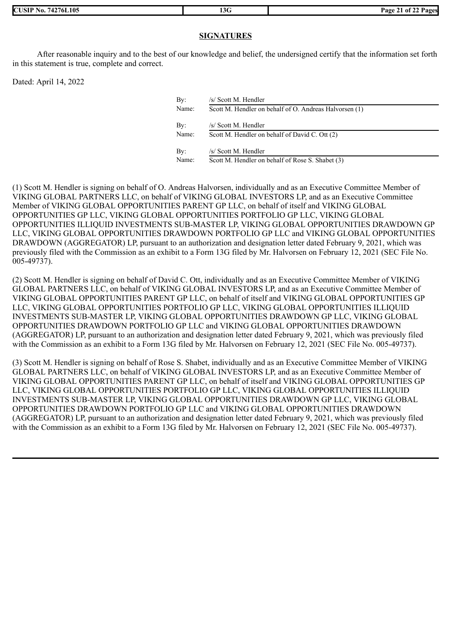**CUSIP No. 74276L105 13G Page 21 of 22 Pages**

# **SIGNATURES**

After reasonable inquiry and to the best of our knowledge and belief, the undersigned certify that the information set forth in this statement is true, complete and correct.

Dated: April 14, 2022

| By:   | /s/ Scott M. Hendler                                   |
|-------|--------------------------------------------------------|
| Name: | Scott M. Hendler on behalf of O. Andreas Halvorsen (1) |
| By:   | /s/ Scott M. Hendler                                   |
| Name: | Scott M. Hendler on behalf of David C. Ott (2)         |
| By:   | /s/ Scott M. Hendler                                   |
| Name: | Scott M. Hendler on behalf of Rose S. Shabet (3)       |

(1) Scott M. Hendler is signing on behalf of O. Andreas Halvorsen, individually and as an Executive Committee Member of VIKING GLOBAL PARTNERS LLC, on behalf of VIKING GLOBAL INVESTORS LP, and as an Executive Committee Member of VIKING GLOBAL OPPORTUNITIES PARENT GP LLC, on behalf of itself and VIKING GLOBAL OPPORTUNITIES GP LLC, VIKING GLOBAL OPPORTUNITIES PORTFOLIO GP LLC, VIKING GLOBAL OPPORTUNITIES ILLIQUID INVESTMENTS SUB-MASTER LP, VIKING GLOBAL OPPORTUNITIES DRAWDOWN GP LLC, VIKING GLOBAL OPPORTUNITIES DRAWDOWN PORTFOLIO GP LLC and VIKING GLOBAL OPPORTUNITIES DRAWDOWN (AGGREGATOR) LP, pursuant to an authorization and designation letter dated February 9, 2021, which was previously filed with the Commission as an exhibit to a Form 13G filed by Mr. Halvorsen on February 12, 2021 (SEC File No.  $005 - 49737$ ).

(2) Scott M. Hendler is signing on behalf of David C. Ott, individually and as an Executive Committee Member of VIKING GLOBAL PARTNERS LLC, on behalf of VIKING GLOBAL INVESTORS LP, and as an Executive Committee Member of VIKING GLOBAL OPPORTUNITIES PARENT GP LLC, on behalf of itself and VIKING GLOBAL OPPORTUNITIES GP LLC, VIKING GLOBAL OPPORTUNITIES PORTFOLIO GP LLC, VIKING GLOBAL OPPORTUNITIES ILLIQUID INVESTMENTS SUB-MASTER LP, VIKING GLOBAL OPPORTUNITIES DRAWDOWN GP LLC, VIKING GLOBAL OPPORTUNITIES DRAWDOWN PORTFOLIO GP LLC and VIKING GLOBAL OPPORTUNITIES DRAWDOWN (AGGREGATOR) LP, pursuant to an authorization and designation letter dated February 9, 2021, which was previously filed with the Commission as an exhibit to a Form 13G filed by Mr. Halvorsen on February 12, 2021 (SEC File No. 005-49737).

(3) Scott M. Hendler is signing on behalf of Rose S. Shabet, individually and as an Executive Committee Member of VIKING GLOBAL PARTNERS LLC, on behalf of VIKING GLOBAL INVESTORS LP, and as an Executive Committee Member of VIKING GLOBAL OPPORTUNITIES PARENT GP LLC, on behalf of itself and VIKING GLOBAL OPPORTUNITIES GP LLC, VIKING GLOBAL OPPORTUNITIES PORTFOLIO GP LLC, VIKING GLOBAL OPPORTUNITIES ILLIQUID INVESTMENTS SUB-MASTER LP, VIKING GLOBAL OPPORTUNITIES DRAWDOWN GP LLC, VIKING GLOBAL OPPORTUNITIES DRAWDOWN PORTFOLIO GP LLC and VIKING GLOBAL OPPORTUNITIES DRAWDOWN (AGGREGATOR) LP, pursuant to an authorization and designation letter dated February 9, 2021, which was previously filed with the Commission as an exhibit to a Form 13G filed by Mr. Halvorsen on February 12, 2021 (SEC File No. 005-49737).